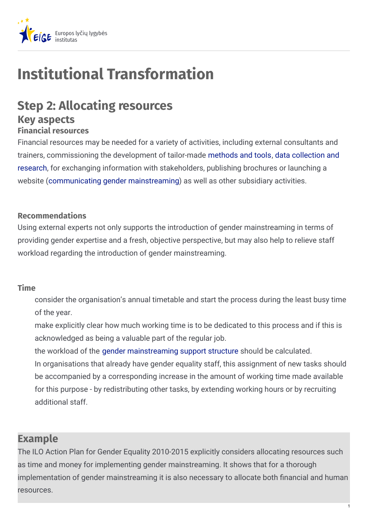

# **Institutional Transformation**

## **Step 2: Allocating resources Key aspects**

#### **Financial resources**

Financial resources may be needed for a variety of activities, including external consultants and trainers, [commissioning](https://eige.europa.eu/gender-mainstreaming/tools-and-methods/gender-mainstreaming-and-institutional-transformation/step-10-establishing-gender-information-management-system) the development of tailor-made [methods](https://eige.europa.eu/gender-mainstreaming/tools-and-methods/gender-mainstreaming-and-institutional-transformation/step-8-introducing-gender-mainstreaming) and tools, data collection and research, for exchanging information with stakeholders, publishing brochures or launching a website [\(communicating](https://eige.europa.eu/gender-mainstreaming/tools-and-methods/gender-mainstreaming-and-institutional-transformation/step-7-communicating-gender-mainstreaming) gender mainstreaming) as well as other subsidiary activities.

#### **Recommendations**

Using external experts not only supports the introduction of gender mainstreaming in terms of providing gender expertise and a fresh, objective perspective, but may also help to relieve staff workload regarding the introduction of gender mainstreaming.

#### **Time**

consider the organisation's annual timetable and start the process during the least busy time of the year.

make explicitly clear how much working time is to be dedicated to this process and if this is acknowledged as being a valuable part of the regular job.

the workload of the gender [mainstreaming](https://eige.europa.eu/gender-mainstreaming/tools-and-methods/gender-mainstreaming-and-institutional-transformation/step-5-establishing-gender-mainstreaming-support-structure) support structure should be calculated.

In organisations that already have gender equality staff, this assignment of new tasks should be accompanied by a corresponding increase in the amount of working time made available for this purpose - by redistributing other tasks, by extending working hours or by recruiting additional staff.

### **Example**

The ILO Action Plan for Gender Equality 2010-2015 explicitly considers allocating resources such as time and money for implementing gender mainstreaming. It shows that for a thorough implementation of gender mainstreaming it is also necessary to allocate both financial and human resources.